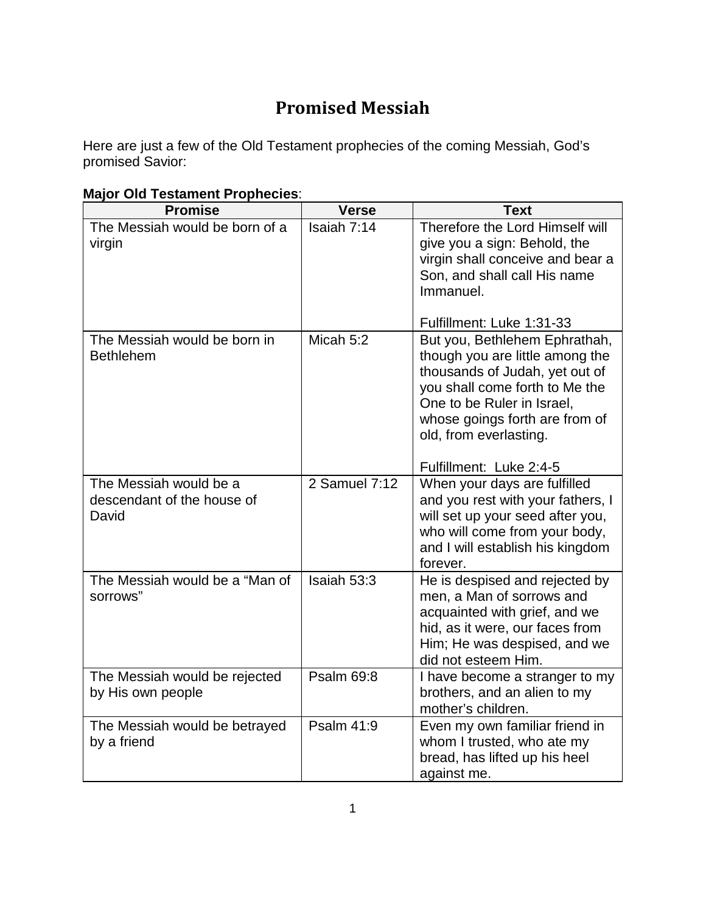## **Promised Messiah**

Here are just a few of the Old Testament prophecies of the coming Messiah, God's promised Savior:

|  |  | <b>Major Old Testament Prophecies:</b> |  |  |
|--|--|----------------------------------------|--|--|
|--|--|----------------------------------------|--|--|

| <b>Promise</b>                                                | <b>Verse</b>      | <b>Text</b>                                                                                                                                                                                                                                               |
|---------------------------------------------------------------|-------------------|-----------------------------------------------------------------------------------------------------------------------------------------------------------------------------------------------------------------------------------------------------------|
| The Messiah would be born of a<br>virgin                      | Isaiah 7:14       | Therefore the Lord Himself will<br>give you a sign: Behold, the<br>virgin shall conceive and bear a<br>Son, and shall call His name<br>Immanuel.<br>Fulfillment: Luke 1:31-33                                                                             |
| The Messiah would be born in<br><b>Bethlehem</b>              | Micah 5:2         | But you, Bethlehem Ephrathah,<br>though you are little among the<br>thousands of Judah, yet out of<br>you shall come forth to Me the<br>One to be Ruler in Israel,<br>whose goings forth are from of<br>old, from everlasting.<br>Fulfillment: Luke 2:4-5 |
| The Messiah would be a<br>descendant of the house of<br>David | 2 Samuel 7:12     | When your days are fulfilled<br>and you rest with your fathers, I<br>will set up your seed after you,<br>who will come from your body,<br>and I will establish his kingdom<br>forever.                                                                    |
| The Messiah would be a "Man of<br>sorrows"                    | Isaiah 53:3       | He is despised and rejected by<br>men, a Man of sorrows and<br>acquainted with grief, and we<br>hid, as it were, our faces from<br>Him; He was despised, and we<br>did not esteem Him.                                                                    |
| The Messiah would be rejected<br>by His own people            | <b>Psalm 69:8</b> | I have become a stranger to my<br>brothers, and an alien to my<br>mother's children.                                                                                                                                                                      |
| The Messiah would be betrayed<br>by a friend                  | Psalm 41:9        | Even my own familiar friend in<br>whom I trusted, who ate my<br>bread, has lifted up his heel<br>against me.                                                                                                                                              |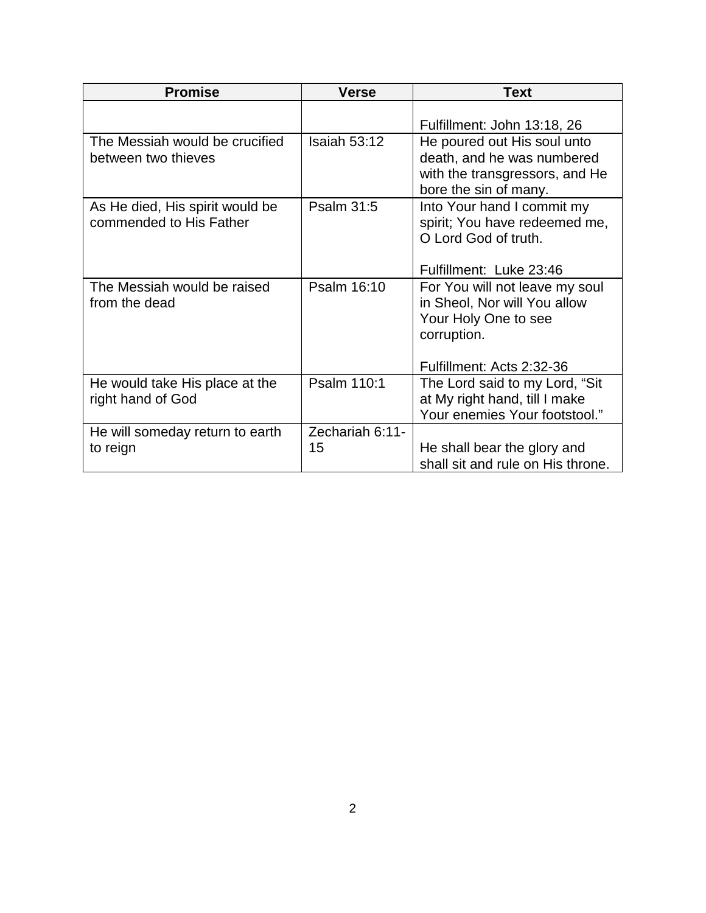| <b>Promise</b>                                             | <b>Verse</b>          | <b>Text</b>                                                                                                                        |  |
|------------------------------------------------------------|-----------------------|------------------------------------------------------------------------------------------------------------------------------------|--|
|                                                            |                       | Fulfillment: John 13:18, 26                                                                                                        |  |
| The Messiah would be crucified<br>between two thieves      | Isaiah 53:12          | He poured out His soul unto<br>death, and he was numbered<br>with the transgressors, and He<br>bore the sin of many.               |  |
| As He died, His spirit would be<br>commended to His Father | Psalm 31:5            | Into Your hand I commit my<br>spirit; You have redeemed me,<br>O Lord God of truth.<br>Fulfillment: Luke 23:46                     |  |
| The Messiah would be raised<br>from the dead               | Psalm 16:10           | For You will not leave my soul<br>in Sheol, Nor will You allow<br>Your Holy One to see<br>corruption.<br>Fulfillment: Acts 2:32-36 |  |
| He would take His place at the<br>right hand of God        | Psalm 110:1           | The Lord said to my Lord, "Sit<br>at My right hand, till I make<br>Your enemies Your footstool."                                   |  |
| He will someday return to earth<br>to reign                | Zechariah 6:11-<br>15 | He shall bear the glory and<br>shall sit and rule on His throne.                                                                   |  |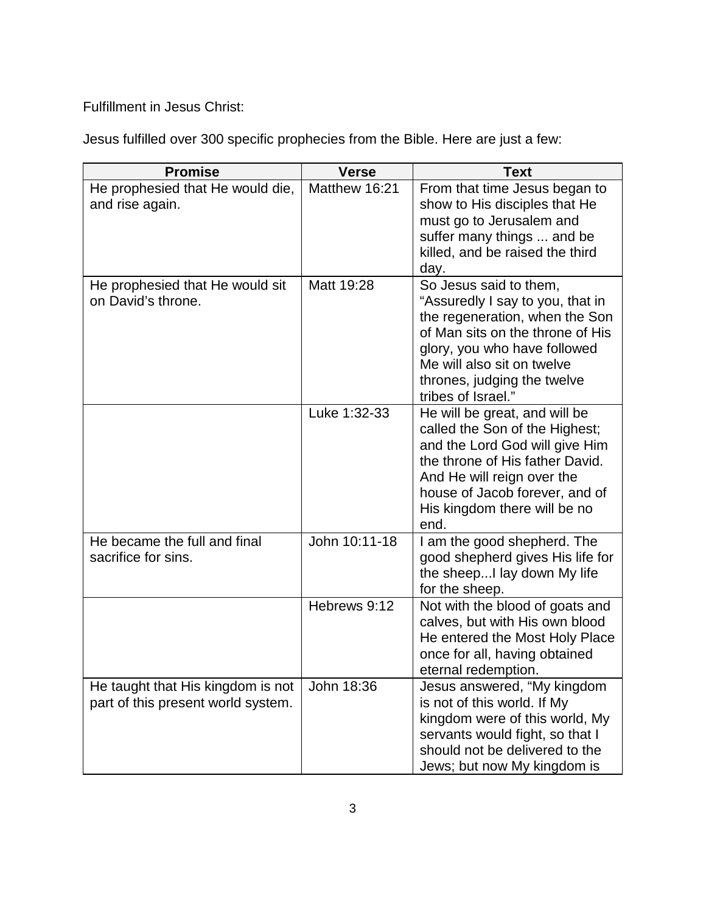Fulfillment in Jesus Christ:

Jesus fulfilled over 300 specific prophecies from the Bible. Here are just a few:

| <b>Promise</b>                                                          | <b>Verse</b>  | <b>Text</b>                                                                                                                                                                                                                                         |  |
|-------------------------------------------------------------------------|---------------|-----------------------------------------------------------------------------------------------------------------------------------------------------------------------------------------------------------------------------------------------------|--|
| He prophesied that He would die,<br>and rise again.                     | Matthew 16:21 | From that time Jesus began to<br>show to His disciples that He<br>must go to Jerusalem and<br>suffer many things  and be<br>killed, and be raised the third<br>day.                                                                                 |  |
| He prophesied that He would sit<br>on David's throne.                   | Matt 19:28    | So Jesus said to them,<br>"Assuredly I say to you, that in<br>the regeneration, when the Son<br>of Man sits on the throne of His<br>glory, you who have followed<br>Me will also sit on twelve<br>thrones, judging the twelve<br>tribes of Israel." |  |
|                                                                         | Luke 1:32-33  | He will be great, and will be<br>called the Son of the Highest;<br>and the Lord God will give Him<br>the throne of His father David.<br>And He will reign over the<br>house of Jacob forever, and of<br>His kingdom there will be no<br>end.        |  |
| He became the full and final<br>sacrifice for sins.                     | John 10:11-18 | I am the good shepherd. The<br>good shepherd gives His life for<br>the sheep I lay down My life<br>for the sheep.                                                                                                                                   |  |
|                                                                         | Hebrews 9:12  | Not with the blood of goats and<br>calves, but with His own blood<br>He entered the Most Holy Place<br>once for all, having obtained<br>eternal redemption.                                                                                         |  |
| He taught that His kingdom is not<br>part of this present world system. | John 18:36    | Jesus answered, "My kingdom<br>is not of this world. If My<br>kingdom were of this world, My<br>servants would fight, so that I<br>should not be delivered to the<br>Jews; but now My kingdom is                                                    |  |